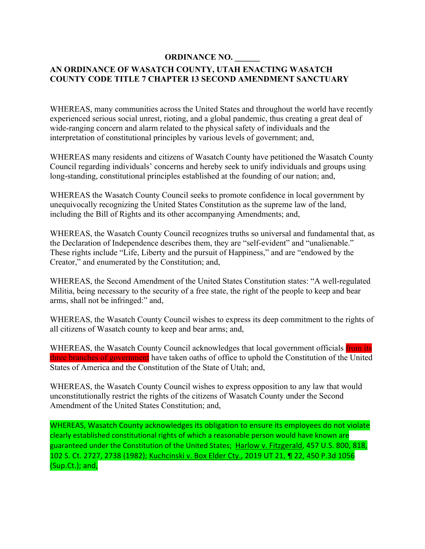## **ORDINANCE NO. \_\_\_\_\_\_**

# **AN ORDINANCE OF WASATCH COUNTY, UTAH ENACTING WASATCH COUNTY CODE TITLE 7 CHAPTER 13 SECOND AMENDMENT SANCTUARY**

WHEREAS, many communities across the United States and throughout the world have recently experienced serious social unrest, rioting, and a global pandemic, thus creating a great deal of wide-ranging concern and alarm related to the physical safety of individuals and the interpretation of constitutional principles by various levels of government; and,

WHEREAS many residents and citizens of Wasatch County have petitioned the Wasatch County Council regarding individuals' concerns and hereby seek to unify individuals and groups using long-standing, constitutional principles established at the founding of our nation; and,

WHEREAS the Wasatch County Council seeks to promote confidence in local government by unequivocally recognizing the United States Constitution as the supreme law of the land, including the Bill of Rights and its other accompanying Amendments; and,

WHEREAS, the Wasatch County Council recognizes truths so universal and fundamental that, as the Declaration of Independence describes them, they are "self-evident" and "unalienable." These rights include "Life, Liberty and the pursuit of Happiness," and are "endowed by the Creator," and enumerated by the Constitution; and,

WHEREAS, the Second Amendment of the United States Constitution states: "A well-regulated Militia, being necessary to the security of a free state, the right of the people to keep and bear arms, shall not be infringed:" and,

WHEREAS, the Wasatch County Council wishes to express its deep commitment to the rights of all citizens of Wasatch county to keep and bear arms; and,

WHEREAS, the Wasatch County Council acknowledges that local government officials from its three branches of government have taken oaths of office to uphold the Constitution of the United States of America and the Constitution of the State of Utah; and,

WHEREAS, the Wasatch County Council wishes to express opposition to any law that would unconstitutionally restrict the rights of the citizens of Wasatch County under the Second Amendment of the United States Constitution; and,

WHEREAS, Wasatch County acknowledges its obligation to ensure its employees do not violate clearly established constitutional rights of which a reasonable person would have known are guaranteed under the Constitution of the United States; Harlow v. Fitzgerald, 457 U.S. 800, 818, 102 S. Ct. 2727, 2738 (1982); Kuchcinski v. Box Elder Cty., 2019 UT 21, ¶ 22, 450 P.3d 1056 (Sup.Ct.); and,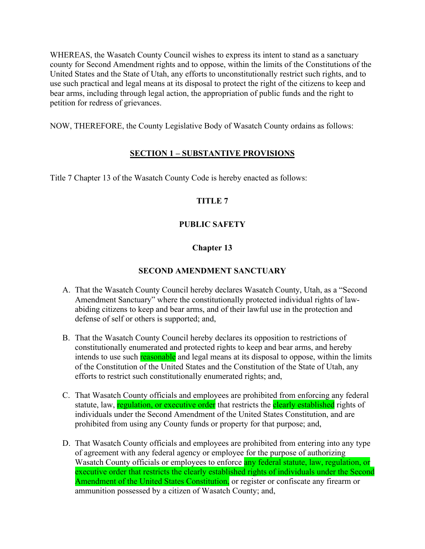WHEREAS, the Wasatch County Council wishes to express its intent to stand as a sanctuary county for Second Amendment rights and to oppose, within the limits of the Constitutions of the United States and the State of Utah, any efforts to unconstitutionally restrict such rights, and to use such practical and legal means at its disposal to protect the right of the citizens to keep and bear arms, including through legal action, the appropriation of public funds and the right to petition for redress of grievances.

NOW, THEREFORE, the County Legislative Body of Wasatch County ordains as follows:

## **SECTION 1 – SUBSTANTIVE PROVISIONS**

Title 7 Chapter 13 of the Wasatch County Code is hereby enacted as follows:

## **TITLE 7**

### **PUBLIC SAFETY**

## **Chapter 13**

### **SECOND AMENDMENT SANCTUARY**

- A. That the Wasatch County Council hereby declares Wasatch County, Utah, as a "Second Amendment Sanctuary" where the constitutionally protected individual rights of lawabiding citizens to keep and bear arms, and of their lawful use in the protection and defense of self or others is supported; and,
- B. That the Wasatch County Council hereby declares its opposition to restrictions of constitutionally enumerated and protected rights to keep and bear arms, and hereby intends to use such reasonable and legal means at its disposal to oppose, within the limits of the Constitution of the United States and the Constitution of the State of Utah, any efforts to restrict such constitutionally enumerated rights; and,
- C. That Wasatch County officials and employees are prohibited from enforcing any federal statute, law, regulation, or executive order that restricts the clearly established rights of individuals under the Second Amendment of the United States Constitution, and are prohibited from using any County funds or property for that purpose; and,
- D. That Wasatch County officials and employees are prohibited from entering into any type of agreement with any federal agency or employee for the purpose of authorizing Wasatch County officials or employees to enforce any federal statute, law, regulation, or executive order that restricts the clearly established rights of individuals under the Second Amendment of the United States Constitution, or register or confiscate any firearm or ammunition possessed by a citizen of Wasatch County; and,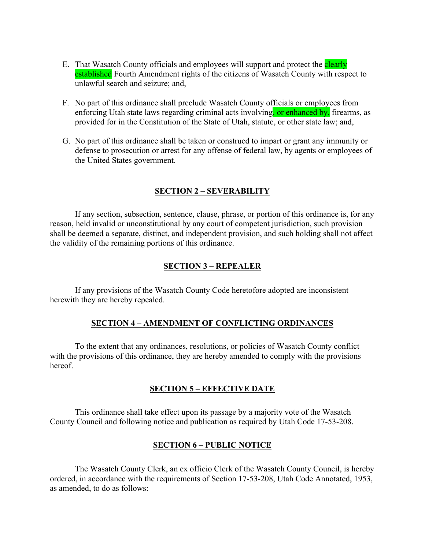- E. That Wasatch County officials and employees will support and protect the **clearly** established Fourth Amendment rights of the citizens of Wasatch County with respect to unlawful search and seizure; and,
- F. No part of this ordinance shall preclude Wasatch County officials or employees from enforcing Utah state laws regarding criminal acts involving, or enhanced by, firearms, as provided for in the Constitution of the State of Utah, statute, or other state law; and,
- G. No part of this ordinance shall be taken or construed to impart or grant any immunity or defense to prosecution or arrest for any offense of federal law, by agents or employees of the United States government.

### **SECTION 2 – SEVERABILITY**

If any section, subsection, sentence, clause, phrase, or portion of this ordinance is, for any reason, held invalid or unconstitutional by any court of competent jurisdiction, such provision shall be deemed a separate, distinct, and independent provision, and such holding shall not affect the validity of the remaining portions of this ordinance.

### **SECTION 3 – REPEALER**

If any provisions of the Wasatch County Code heretofore adopted are inconsistent herewith they are hereby repealed.

### **SECTION 4 – AMENDMENT OF CONFLICTING ORDINANCES**

To the extent that any ordinances, resolutions, or policies of Wasatch County conflict with the provisions of this ordinance, they are hereby amended to comply with the provisions hereof.

### **SECTION 5 – EFFECTIVE DATE**

This ordinance shall take effect upon its passage by a majority vote of the Wasatch County Council and following notice and publication as required by Utah Code 17-53-208.

### **SECTION 6 – PUBLIC NOTICE**

The Wasatch County Clerk, an ex officio Clerk of the Wasatch County Council, is hereby ordered, in accordance with the requirements of Section 17-53-208, Utah Code Annotated, 1953, as amended, to do as follows: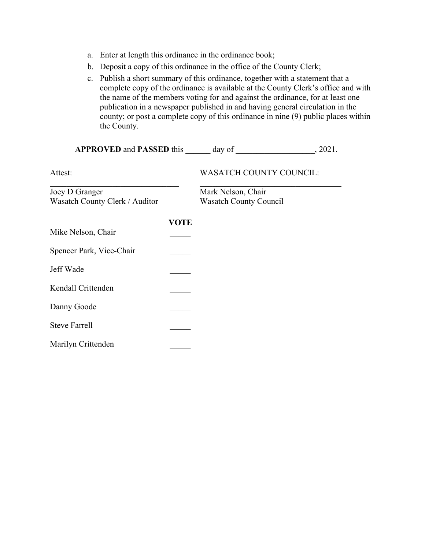- a. Enter at length this ordinance in the ordinance book;
- b. Deposit a copy of this ordinance in the office of the County Clerk;
- c. Publish a short summary of this ordinance, together with a statement that a complete copy of the ordinance is available at the County Clerk's office and with the name of the members voting for and against the ordinance, for at least one publication in a newspaper published in and having general circulation in the county; or post a complete copy of this ordinance in nine (9) public places within the County.

| APPROVED and PASSED this day of 3021.            |             |                                                     |  |
|--------------------------------------------------|-------------|-----------------------------------------------------|--|
| Attest:                                          |             | <b>WASATCH COUNTY COUNCIL:</b>                      |  |
| Joey D Granger<br>Wasatch County Clerk / Auditor |             | Mark Nelson, Chair<br><b>Wasatch County Council</b> |  |
| Mike Nelson, Chair                               | <b>VOTE</b> |                                                     |  |
| Spencer Park, Vice-Chair                         |             |                                                     |  |
| Jeff Wade                                        |             |                                                     |  |
| Kendall Crittenden                               |             |                                                     |  |
| Danny Goode                                      |             |                                                     |  |
| <b>Steve Farrell</b>                             |             |                                                     |  |
| Marilyn Crittenden                               |             |                                                     |  |